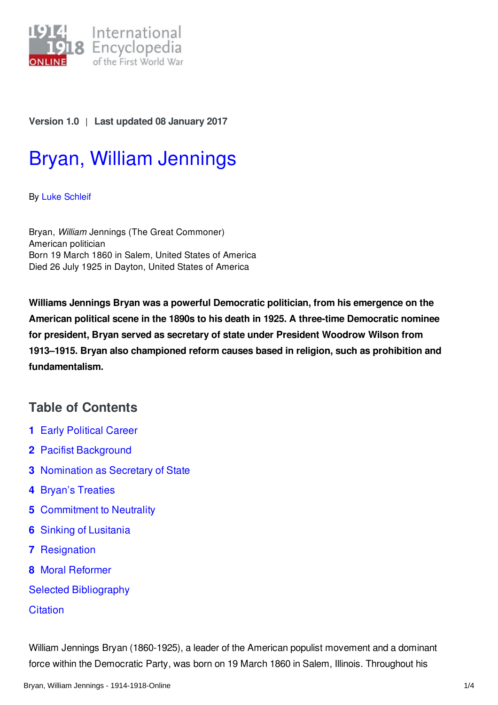

#### **Version 1.0** | **Last updated 08 January 2017**

# Bryan, William [Jennings](http://encyclopedia.1914-1918-online.net/article/bryan_william_jennings)

By Luke [Schleif](http://encyclopedia.1914-1918-online.net/contributors/Luke_Schleif)

Bryan, *William* Jennings (The Great Commoner) American politician Born 19 March 1860 in Salem, United States of America Died 26 July 1925 in Dayton, United States of America

**Williams Jennings Bryan was a powerful Democratic politician, from his emergence on the American political scene in the 1890s to his death in 1925. A three-time Democratic nominee for president, Bryan served as secretary of state under President Woodrow Wilson from 1913–1915. Bryan also championed reform causes based in religion, such as prohibition and fundamentalism.**

## **Table of Contents**

- **1** Early [Political](#page-1-0) Career
- **2** Pacifist [Background](#page-1-1)
- **3** [Nomination](#page-1-2) as Secretary of State
- **4** Bryan's [Treaties](#page-1-3)
- **5** [Commitment](#page-1-4) to Neutrality
- **6** Sinking of [Lusitania](#page-2-0)
- **7** [Resignation](#page-2-1)
- **8** Moral [Reformer](#page-2-2)
- Selected [Bibliography](#page-3-0)

#### **[Citation](#page-3-1)**

William Jennings Bryan (1860-1925), a leader of the American populist movement and a dominant force within the Democratic Party, was born on 19 March 1860 in Salem, Illinois. Throughout his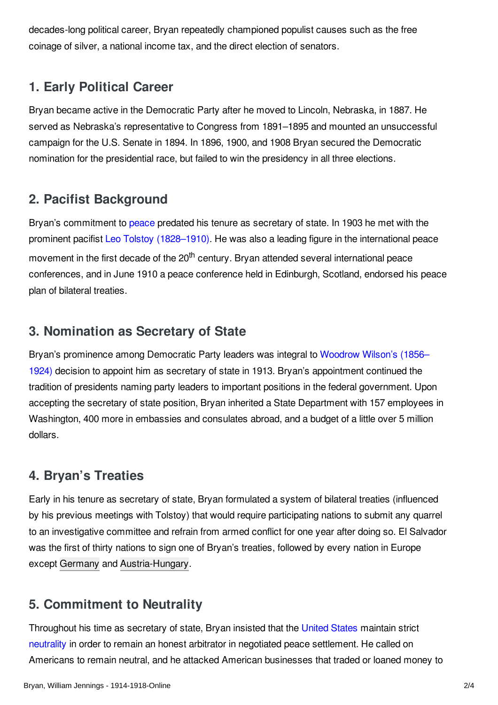decades-long political career, Bryan repeatedly championed populist causes such as the free coinage of silver, a national income tax, and the direct election of senators.

### <span id="page-1-0"></span>**1. Early Political Career**

Bryan became active in the Democratic Party after he moved to Lincoln, Nebraska, in 1887. He served as Nebraska's representative to Congress from 1891–1895 and mounted an unsuccessful campaign for the U.S. Senate in 1894. In 1896, 1900, and 1908 Bryan secured the Democratic nomination for the presidential race, but failed to win the presidency in all three elections.

#### <span id="page-1-1"></span>**2. Pacifist Background**

Bryan's commitment to [peace](/article/pacifism) predated his tenure as secretary of state. In 1903 he met with the prominent pacifist Leo Tolstoy [\(1828–1910\)](/index/names/11864291X). He was also a leading figure in the international peace movement in the first decade of the 20<sup>th</sup> century. Bryan attended several international peace conferences, and in June 1910 a peace conference held in Edinburgh, Scotland, endorsed his peace plan of bilateral treaties.

### <span id="page-1-2"></span>**3. Nomination as Secretary of State**

Bryan's prominence among Democratic Party leaders was integral to Woodrow Wilson's (1856– 1924) decision to appoint him as secretary of state in 1913. Bryan's [appointment](/index/names/118643401) continued the tradition of presidents naming party leaders to important positions in the federal government. Upon accepting the secretary of state position, Bryan inherited a State Department with 157 employees in Washington, 400 more in embassies and consulates abroad, and a budget of a little over 5 million dollars.

### <span id="page-1-3"></span>**4. Bryan's Treaties**

Early in his tenure as secretary of state, Bryan formulated a system of bilateral treaties (influenced by his previous meetings with Tolstoy) that would require participating nations to submit any quarrel to an investigative committee and refrain from armed conflict for one year after doing so. El Salvador was the first of thirty nations to sign one of Bryan's treaties, followed by every nation in Europe except [Germany](/article/germany) and [Austria-Hungary](/article/austria-hungary).

## <span id="page-1-4"></span>**5. Commitment to Neutrality**

Throughout his time as secretary of state, Bryan insisted that the [United](/article/united_states_of_america) States maintain strict [neutrality](/article/neutrality) in order to remain an honest arbitrator in negotiated peace settlement. He called on Americans to remain neutral, and he attacked American businesses that traded or loaned money to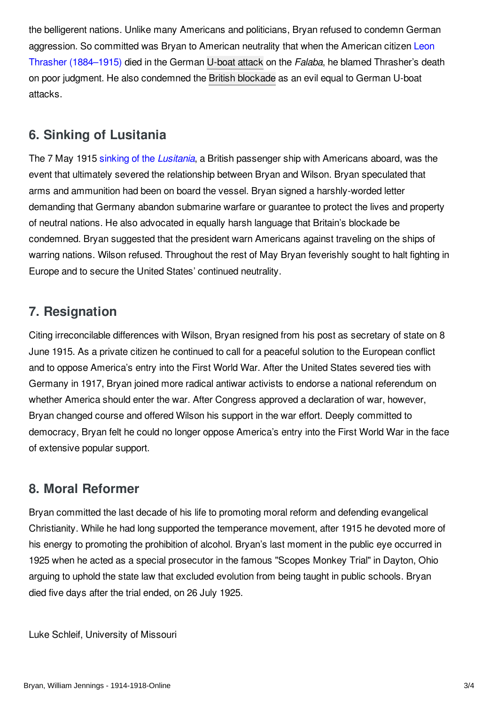the belligerent nations. Unlike many Americans and politicians, Bryan refused to condemn German aggression. So committed was Bryan to American neutrality that when the American citizen Leon Thrasher [\(1884–1915\)](/index/names/1054196311) died in the German [U-boat](/article/submarines_and_submarine_warfare) attack on the *Falaba*, he blamed Thrasher's death on poor judgment. He also condemned the British [blockade](/article/naval_blockade_of_germany) as an evil equal to German U-boat attacks.

### <span id="page-2-0"></span>**6. Sinking of Lusitania**

The 7 May 1915 sinking of the *[Lusitania](/article/lusitania_sinking_of)*, a British passenger ship with Americans aboard, was the event that ultimately severed the relationship between Bryan and Wilson. Bryan speculated that arms and ammunition had been on board the vessel. Bryan signed a harshly-worded letter demanding that Germany abandon submarine warfare or guarantee to protect the lives and property of neutral nations. He also advocated in equally harsh language that Britain's blockade be condemned. Bryan suggested that the president warn Americans against traveling on the ships of warring nations. Wilson refused. Throughout the rest of May Bryan feverishly sought to halt fighting in Europe and to secure the United States' continued neutrality.

### <span id="page-2-1"></span>**7. Resignation**

Citing irreconcilable differences with Wilson, Bryan resigned from his post as secretary of state on 8 June 1915. As a private citizen he continued to call for a peaceful solution to the European conflict and to oppose America's entry into the First World War. After the United States severed ties with Germany in 1917, Bryan joined more radical antiwar activists to endorse a national referendum on whether America should enter the war. After Congress approved a declaration of war, however, Bryan changed course and offered Wilson his support in the war effort. Deeply committed to democracy, Bryan felt he could no longer oppose America's entry into the First World War in the face of extensive popular support.

#### <span id="page-2-2"></span>**8. Moral Reformer**

Bryan committed the last decade of his life to promoting moral reform and defending evangelical Christianity. While he had long supported the temperance movement, after 1915 he devoted more of his energy to promoting the prohibition of alcohol. Bryan's last moment in the public eye occurred in 1925 when he acted as a special prosecutor in the famous "Scopes Monkey Trial" in Dayton, Ohio arguing to uphold the state law that excluded evolution from being taught in public schools. Bryan died five days after the trial ended, on 26 July 1925.

Luke Schleif, University of Missouri